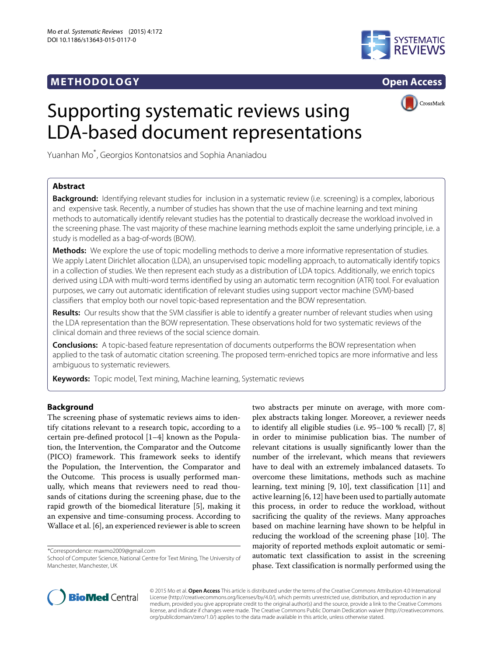# **METHODOLOGY Open Access**



CrossMark

# Supporting systematic reviews using LDA-based document representations

Yuanhan Mo\* , Georgios Kontonatsios and Sophia Ananiadou

# **Abstract**

**Background:** Identifying relevant studies for inclusion in a systematic review (i.e. screening) is a complex, laborious and expensive task. Recently, a number of studies has shown that the use of machine learning and text mining methods to automatically identify relevant studies has the potential to drastically decrease the workload involved in the screening phase. The vast majority of these machine learning methods exploit the same underlying principle, i.e. a study is modelled as a bag-of-words (BOW).

**Methods:** We explore the use of topic modelling methods to derive a more informative representation of studies. We apply Latent Dirichlet allocation (LDA), an unsupervised topic modelling approach, to automatically identify topics in a collection of studies. We then represent each study as a distribution of LDA topics. Additionally, we enrich topics derived using LDA with multi-word terms identified by using an automatic term recognition (ATR) tool. For evaluation purposes, we carry out automatic identification of relevant studies using support vector machine (SVM)-based classifiers that employ both our novel topic-based representation and the BOW representation.

**Results:** Our results show that the SVM classifier is able to identify a greater number of relevant studies when using the LDA representation than the BOW representation. These observations hold for two systematic reviews of the clinical domain and three reviews of the social science domain.

**Conclusions:** A topic-based feature representation of documents outperforms the BOW representation when applied to the task of automatic citation screening. The proposed term-enriched topics are more informative and less ambiguous to systematic reviewers.

**Keywords:** Topic model, Text mining, Machine learning, Systematic reviews

# **Background**

The screening phase of systematic reviews aims to identify citations relevant to a research topic, according to a certain pre-defined protocol [\[1](#page-10-0)[–4\]](#page-10-1) known as the Population, the Intervention, the Comparator and the Outcome (PICO) framework. This framework seeks to identify the Population, the Intervention, the Comparator and the Outcome. This process is usually performed manually, which means that reviewers need to read thousands of citations during the screening phase, due to the rapid growth of the biomedical literature [\[5\]](#page-10-2), making it an expensive and time-consuming process. According to Wallace et al. [\[6\]](#page-10-3), an experienced reviewer is able to screen

two abstracts per minute on average, with more complex abstracts taking longer. Moreover, a reviewer needs to identify all eligible studies (i.e. 95–100 % recall) [\[7,](#page-10-4) [8\]](#page-10-5) in order to minimise publication bias. The number of relevant citations is usually significantly lower than the number of the irrelevant, which means that reviewers have to deal with an extremely imbalanced datasets. To overcome these limitations, methods such as machine learning, text mining [\[9,](#page-10-6) [10\]](#page-10-7), text classification [\[11\]](#page-10-8) and active learning [\[6,](#page-10-3) [12\]](#page-10-9) have been used to partially automate this process, in order to reduce the workload, without sacrificing the quality of the reviews. Many approaches based on machine learning have shown to be helpful in reducing the workload of the screening phase [\[10\]](#page-10-7). The majority of reported methods exploit automatic or semiautomatic text classification to assist in the screening phase. Text classification is normally performed using the



© 2015 Mo et al. **Open Access** This article is distributed under the terms of the Creative Commons Attribution 4.0 International License [\(http://creativecommons.org/licenses/by/4.0/\)](http://creativecommons.org/licenses/by/4.0/), which permits unrestricted use, distribution, and reproduction in any medium, provided you give appropriate credit to the original author(s) and the source, provide a link to the Creative Commons license, and indicate if changes were made. The Creative Commons Public Domain Dedication waiver [\(http://creativecommons.](http://creativecommons.org/publicdomain/zero/1.0/) [org/publicdomain/zero/1.0/\)](http://creativecommons.org/publicdomain/zero/1.0/) applies to the data made available in this article, unless otherwise stated.

<sup>\*</sup>Correspondence: [maxmo2009@gmail.com](mailto: maxmo2009@gmail.com)

School of Computer Science, National Centre for Text Mining, The University of Manchester, Manchester, UK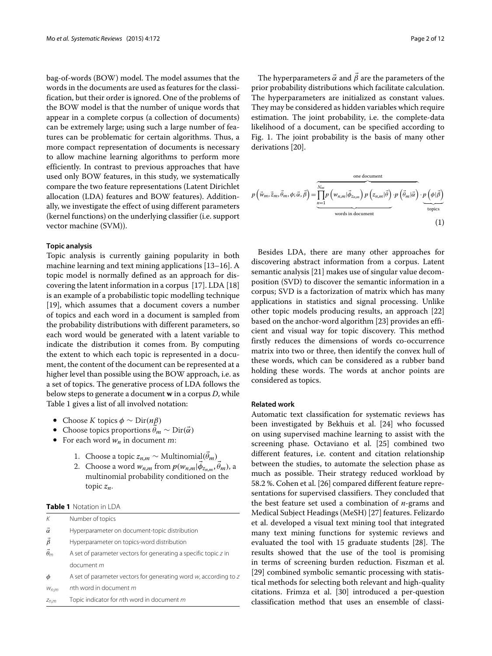bag-of-words (BOW) model. The model assumes that the words in the documents are used as features for the classification, but their order is ignored. One of the problems of the BOW model is that the number of unique words that appear in a complete corpus (a collection of documents) can be extremely large; using such a large number of features can be problematic for certain algorithms. Thus, a more compact representation of documents is necessary to allow machine learning algorithms to perform more efficiently. In contrast to previous approaches that have used only BOW features, in this study, we systematically compare the two feature representations (Latent Dirichlet allocation (LDA) features and BOW features). Additionally, we investigate the effect of using different parameters (kernel functions) on the underlying classifier (i.e. support vector machine (SVM)).

#### **Topic analysis**

Topic analysis is currently gaining popularity in both machine learning and text mining applications [\[13–](#page-10-10)[16\]](#page-10-11). A topic model is normally defined as an approach for discovering the latent information in a corpus [\[17\]](#page-10-12). LDA [\[18\]](#page-10-13) is an example of a probabilistic topic modelling technique [\[19\]](#page-10-14), which assumes that a document covers a number of topics and each word in a document is sampled from the probability distributions with different parameters, so each word would be generated with a latent variable to indicate the distribution it comes from. By computing the extent to which each topic is represented in a document, the content of the document can be represented at a higher level than possible using the BOW approach, i.e. as a set of topics. The generative process of LDA follows the below steps to generate a document **w** in a corpus *D*, while Table [1](#page-1-0) gives a list of all involved notation:

- Choose <sup>K</sup> topics φ ∼ Dir(*n*β)
- Choose topics proportions θ *<sup>m</sup>* ∼ Dir(α)
- For each word  $w_n$  in document *m*:
	- 1. Choose a topic  $z_{n,m} \sim \text{Multinomial}(\theta_m)$
	- 2. Choose a word  $w_{n,m}$  from  $p(w_{n,m}|\phi_{z_{n,m}}, \theta_m)$ , a multinomial probability conditioned on the topic *zn*.

#### <span id="page-1-0"></span>**Table 1** Notation in LDA

| К                | Number of topics                                                                                                                                                                                                                |  |  |  |  |  |  |  |  |  |
|------------------|---------------------------------------------------------------------------------------------------------------------------------------------------------------------------------------------------------------------------------|--|--|--|--|--|--|--|--|--|
| $\vec{\alpha}$   | Hyperparameter on document-topic distribution                                                                                                                                                                                   |  |  |  |  |  |  |  |  |  |
| $\vec{\beta}$    | Hyperparameter on topics-word distribution                                                                                                                                                                                      |  |  |  |  |  |  |  |  |  |
| $\vec{\theta}_m$ | A set of parameter vectors for generating a specific topic z in                                                                                                                                                                 |  |  |  |  |  |  |  |  |  |
|                  | $d$ ocument m                                                                                                                                                                                                                   |  |  |  |  |  |  |  |  |  |
| φ                | A set of parameter vectors for generating word w, according to z                                                                                                                                                                |  |  |  |  |  |  |  |  |  |
| $W_{n,m}$        | nth word in document $m$                                                                                                                                                                                                        |  |  |  |  |  |  |  |  |  |
|                  | $\sim$ . The contract of the contract of the contract of the contract of the contract of the contract of the contract of the contract of the contract of the contract of the contract of the contract of the contract of the co |  |  |  |  |  |  |  |  |  |

 $z_{n,m}$  Topic indicator for nth word in document m

The hyperparameters  $\vec{\alpha}$  and  $\vec{\beta}$  are the parameters of the prior probability distributions which facilitate calculation. The hyperparameters are initialized as constant values. They may be considered as hidden variables which require estimation. The joint probability, i.e. the complete-data likelihood of a document, can be specified according to Fig. [1.](#page-2-0) The joint probability is the basis of many other derivations [\[20\]](#page-11-0).

one document  
\n
$$
p\left(\vec{w}_m, \vec{z}_m, \vec{\theta}_m, \phi; \vec{\alpha}, \vec{\beta}\right) = \underbrace{\prod_{n=1}^{N_m} p\left(w_{n,m}|\vec{\phi}_{z_{n,m}}\right) p\left(z_{n,m}|\vec{\theta}\right) \cdot p\left(\vec{\theta}_m|\vec{\alpha}\right)}_{\text{words in document}} \cdot p\left(\phi|\vec{\beta}\right)
$$
\n(1)

Besides LDA, there are many other approaches for discovering abstract information from a corpus. Latent semantic analysis [\[21\]](#page-11-1) makes use of singular value decomposition (SVD) to discover the semantic information in a corpus; SVD is a factorization of matrix which has many applications in statistics and signal processing. Unlike other topic models producing results, an approach [\[22\]](#page-11-2) based on the anchor-word algorithm [\[23\]](#page-11-3) provides an efficient and visual way for topic discovery. This method firstly reduces the dimensions of words co-occurrence matrix into two or three, then identify the convex hull of these words, which can be considered as a rubber band holding these words. The words at anchor points are considered as topics.

#### **Related work**

Automatic text classification for systematic reviews has been investigated by Bekhuis et al. [\[24\]](#page-11-4) who focussed on using supervised machine learning to assist with the screening phase. Octaviano et al. [\[25\]](#page-11-5) combined two different features, i.e. content and citation relationship between the studies, to automate the selection phase as much as possible. Their strategy reduced workload by 58.2 %. Cohen et al. [\[26\]](#page-11-6) compared different feature representations for supervised classifiers. They concluded that the best feature set used a combination of *n*-grams and Medical Subject Headings (MeSH) [\[27\]](#page-11-7) features. Felizardo et al. developed a visual text mining tool that integrated many text mining functions for systemic reviews and evaluated the tool with 15 graduate students [\[28\]](#page-11-8). The results showed that the use of the tool is promising in terms of screening burden reduction. Fiszman et al. [\[29\]](#page-11-9) combined symbolic semantic processing with statistical methods for selecting both relevant and high-quality citations. Frimza et al. [\[30\]](#page-11-10) introduced a per-question classification method that uses an ensemble of classi-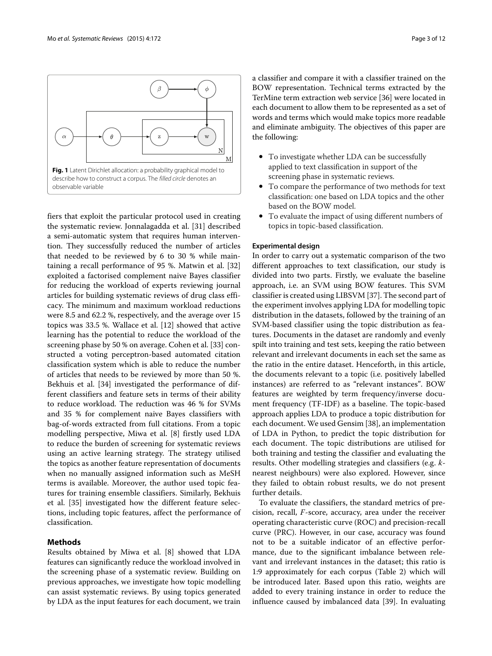

<span id="page-2-0"></span>fiers that exploit the particular protocol used in creating the systematic review. Jonnalagadda et al. [\[31\]](#page-11-11) described a semi-automatic system that requires human intervention. They successfully reduced the number of articles that needed to be reviewed by 6 to 30 % while maintaining a recall performance of 95 %. Matwin et al. [\[32\]](#page-11-12) exploited a factorised complement naive Bayes classifier for reducing the workload of experts reviewing journal articles for building systematic reviews of drug class efficacy. The minimum and maximum workload reductions were 8.5 and 62.2 %, respectively, and the average over 15 topics was 33.5 %. Wallace et al. [\[12\]](#page-10-9) showed that active learning has the potential to reduce the workload of the screening phase by 50 % on average. Cohen et al. [\[33\]](#page-11-13) constructed a voting perceptron-based automated citation classification system which is able to reduce the number of articles that needs to be reviewed by more than 50 %. Bekhuis et al. [\[34\]](#page-11-14) investigated the performance of different classifiers and feature sets in terms of their ability to reduce workload. The reduction was 46 % for SVMs and 35 % for complement naive Bayes classifiers with bag-of-words extracted from full citations. From a topic modelling perspective, Miwa et al. [\[8\]](#page-10-5) firstly used LDA to reduce the burden of screening for systematic reviews using an active learning strategy. The strategy utilised the topics as another feature representation of documents when no manually assigned information such as MeSH terms is available. Moreover, the author used topic features for training ensemble classifiers. Similarly, Bekhuis et al. [\[35\]](#page-11-15) investigated how the different feature selections, including topic features, affect the performance of classification.

## **Methods**

Results obtained by Miwa et al. [\[8\]](#page-10-5) showed that LDA features can significantly reduce the workload involved in the screening phase of a systematic review. Building on previous approaches, we investigate how topic modelling can assist systematic reviews. By using topics generated by LDA as the input features for each document, we train a classifier and compare it with a classifier trained on the BOW representation. Technical terms extracted by the TerMine term extraction web service [\[36\]](#page-11-16) were located in each document to allow them to be represented as a set of words and terms which would make topics more readable and eliminate ambiguity. The objectives of this paper are the following:

- To investigate whether LDA can be successfully applied to text classification in support of the screening phase in systematic reviews.
- To compare the performance of two methods for text classification: one based on LDA topics and the other based on the BOW model.
- To evaluate the impact of using different numbers of topics in topic-based classification.

#### **Experimental design**

In order to carry out a systematic comparison of the two different approaches to text classification, our study is divided into two parts. Firstly, we evaluate the baseline approach, i.e. an SVM using BOW features. This SVM classifier is created using LIBSVM [\[37\]](#page-11-17). The second part of the experiment involves applying LDA for modelling topic distribution in the datasets, followed by the training of an SVM-based classifier using the topic distribution as features. Documents in the dataset are randomly and evenly spilt into training and test sets, keeping the ratio between relevant and irrelevant documents in each set the same as the ratio in the entire dataset. Henceforth, in this article, the documents relevant to a topic (i.e. positively labelled instances) are referred to as "relevant instances". BOW features are weighted by term frequency/inverse document frequency (TF-IDF) as a baseline. The topic-based approach applies LDA to produce a topic distribution for each document. We used Gensim [\[38\]](#page-11-18), an implementation of LDA in Python, to predict the topic distribution for each document. The topic distributions are utilised for both training and testing the classifier and evaluating the results. Other modelling strategies and classifiers (e.g. *k*nearest neighbours) were also explored. However, since they failed to obtain robust results, we do not present further details.

To evaluate the classifiers, the standard metrics of precision, recall, *F*-score, accuracy, area under the receiver operating characteristic curve (ROC) and precision-recall curve (PRC). However, in our case, accuracy was found not to be a suitable indicator of an effective performance, due to the significant imbalance between relevant and irrelevant instances in the dataset; this ratio is 1:9 approximately for each corpus (Table [2\)](#page-3-0) which will be introduced later. Based upon this ratio, weights are added to every training instance in order to reduce the influence caused by imbalanced data [\[39\]](#page-11-19). In evaluating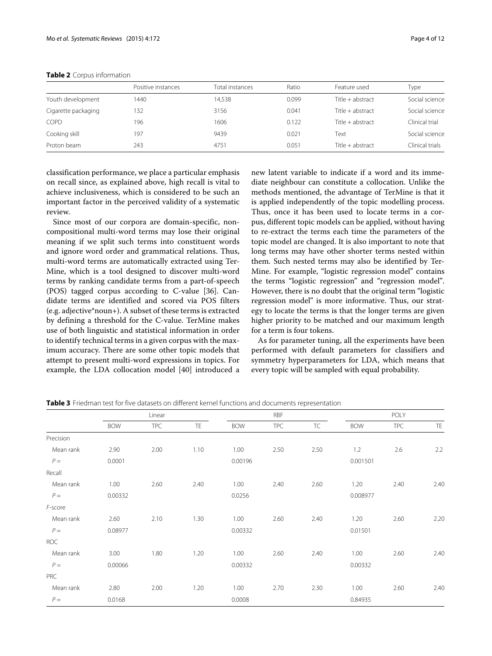<span id="page-3-0"></span>

|                     | Positive instances | Total instances | Ratio | Feature used       | Type            |
|---------------------|--------------------|-----------------|-------|--------------------|-----------------|
| Youth development   | 1440               | 14,538          | 0.099 | Title + abstract   | Social science  |
| Cigarette packaging | 132                | 3156            | 0.041 | Title $+$ abstract | Social science  |
| <b>COPD</b>         | 196                | 1606            | 0.122 | Title $+$ abstract | Clinical trial  |
| Cooking skill       | 197                | 9439            | 0.021 | Text               | Social science  |
| Proton beam         | 243                | 4751            | 0.051 | Title $+$ abstract | Clinical trials |

# **Table 2** Corpus information

classification performance, we place a particular emphasis on recall since, as explained above, high recall is vital to achieve inclusiveness, which is considered to be such an important factor in the perceived validity of a systematic review.

Since most of our corpora are domain-specific, noncompositional multi-word terms may lose their original meaning if we split such terms into constituent words and ignore word order and grammatical relations. Thus, multi-word terms are automatically extracted using Ter-Mine, which is a tool designed to discover multi-word terms by ranking candidate terms from a part-of-speech (POS) tagged corpus according to C-value [\[36\]](#page-11-16). Candidate terms are identified and scored via POS filters (e.g. adjective\*noun+). A subset of these terms is extracted by defining a threshold for the C-value. TerMine makes use of both linguistic and statistical information in order to identify technical terms in a given corpus with the maximum accuracy. There are some other topic models that attempt to present multi-word expressions in topics. For example, the LDA collocation model [\[40\]](#page-11-20) introduced a new latent variable to indicate if a word and its immediate neighbour can constitute a collocation. Unlike the methods mentioned, the advantage of TerMine is that it is applied independently of the topic modelling process. Thus, once it has been used to locate terms in a corpus, different topic models can be applied, without having to re-extract the terms each time the parameters of the topic model are changed. It is also important to note that long terms may have other shorter terms nested within them. Such nested terms may also be identified by Ter-Mine. For example, "logistic regression model" contains the terms "logistic regression" and "regression model". However, there is no doubt that the original term "logistic regression model" is more informative. Thus, our strategy to locate the terms is that the longer terms are given higher priority to be matched and our maximum length for a term is four tokens.

As for parameter tuning, all the experiments have been performed with default parameters for classifiers and symmetry hyperparameters for LDA, which means that every topic will be sampled with equal probability.

<span id="page-3-1"></span>

|           | Linear     |            |      |            | <b>RBF</b> |      | POLY       |            |      |  |
|-----------|------------|------------|------|------------|------------|------|------------|------------|------|--|
|           | <b>BOW</b> | <b>TPC</b> | TE   | <b>BOW</b> | <b>TPC</b> | TC   | <b>BOW</b> | <b>TPC</b> | TE   |  |
| Precision |            |            |      |            |            |      |            |            |      |  |
| Mean rank | 2.90       | 2.00       | 1.10 | 1.00       | 2.50       | 2.50 | 1.2        | 2.6        | 2.2  |  |
| $P =$     | 0.0001     |            |      | 0.00196    |            |      | 0.001501   |            |      |  |
| Recall    |            |            |      |            |            |      |            |            |      |  |
| Mean rank | 1.00       | 2.60       | 2.40 | 1.00       | 2.40       | 2.60 | 1.20       | 2.40       | 2.40 |  |
| $P =$     | 0.00332    |            |      | 0.0256     |            |      | 0.008977   |            |      |  |
| F-score   |            |            |      |            |            |      |            |            |      |  |
| Mean rank | 2.60       | 2.10       | 1.30 | 1.00       | 2.60       | 2.40 | 1.20       | 2.60       | 2.20 |  |
| $P =$     | 0.08977    |            |      | 0.00332    |            |      | 0.01501    |            |      |  |
| ROC       |            |            |      |            |            |      |            |            |      |  |
| Mean rank | 3.00       | 1.80       | 1.20 | 1.00       | 2.60       | 2.40 | 1.00       | 2.60       | 2.40 |  |
| $P =$     | 0.00066    |            |      | 0.00332    |            |      | 0.00332    |            |      |  |
| PRC       |            |            |      |            |            |      |            |            |      |  |
| Mean rank | 2.80       | 2.00       | 1.20 | 1.00       | 2.70       | 2.30 | 1.00       | 2.60       | 2.40 |  |
| $P =$     | 0.0168     |            |      | 0.0008     |            |      | 0.84935    |            |      |  |

**Table 3** Friedman test for five datasets on different kernel functions and documents representation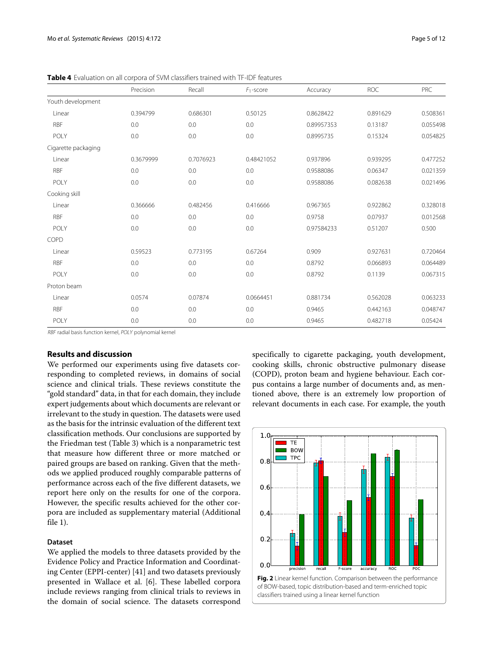|                     | Precision | Recall    | $F_1$ -score | Accuracy   | <b>ROC</b> | PRC      |
|---------------------|-----------|-----------|--------------|------------|------------|----------|
| Youth development   |           |           |              |            |            |          |
| Linear              | 0.394799  | 0.686301  | 0.50125      | 0.8628422  | 0.891629   | 0.508361 |
| <b>RBF</b>          | 0.0       | 0.0       | 0.0          | 0.89957353 | 0.13187    | 0.055498 |
| POLY                | 0.0       | 0.0       | 0.0          | 0.8995735  | 0.15324    | 0.054825 |
| Cigarette packaging |           |           |              |            |            |          |
| Linear              | 0.3679999 | 0.7076923 | 0.48421052   | 0.937896   | 0.939295   | 0.477252 |
| <b>RBF</b>          | 0.0       | 0.0       | 0.0          | 0.9588086  | 0.06347    | 0.021359 |
| POLY                | 0.0       | 0.0       | 0.0          | 0.9588086  | 0.082638   | 0.021496 |
| Cooking skill       |           |           |              |            |            |          |
| Linear              | 0.366666  | 0.482456  | 0.416666     | 0.967365   | 0.922862   | 0.328018 |
| <b>RBF</b>          | 0.0       | 0.0       | 0.0          | 0.9758     | 0.07937    | 0.012568 |
| POLY                | 0.0       | 0.0       | 0.0          | 0.97584233 | 0.51207    | 0.500    |
| COPD                |           |           |              |            |            |          |
| Linear              | 0.59523   | 0.773195  | 0.67264      | 0.909      | 0.927631   | 0.720464 |
| <b>RBF</b>          | 0.0       | 0.0       | 0.0          | 0.8792     | 0.066893   | 0.064489 |
| POLY                | 0.0       | 0.0       | 0.0          | 0.8792     | 0.1139     | 0.067315 |
| Proton beam         |           |           |              |            |            |          |
| Linear              | 0.0574    | 0.07874   | 0.0664451    | 0.881734   | 0.562028   | 0.063233 |
| <b>RBF</b>          | 0.0       | 0.0       | 0.0          | 0.9465     | 0.442163   | 0.048747 |
| POLY                | 0.0       | 0.0       | 0.0          | 0.9465     | 0.482718   | 0.05424  |

<span id="page-4-0"></span>**Table 4** Evaluation on all corpora of SVM classifiers trained with TF-IDF features

RBF radial basis function kernel, POLY polynomial kernel

# **Results and discussion**

We performed our experiments using five datasets corresponding to completed reviews, in domains of social science and clinical trials. These reviews constitute the "gold standard" data, in that for each domain, they include expert judgements about which documents are relevant or irrelevant to the study in question. The datasets were used as the basis for the intrinsic evaluation of the different text classification methods. Our conclusions are supported by the Friedman test (Table [3\)](#page-3-1) which is a nonparametric test that measure how different three or more matched or paired groups are based on ranking. Given that the methods we applied produced roughly comparable patterns of performance across each of the five different datasets, we report here only on the results for one of the corpora. However, the specific results achieved for the other corpora are included as supplementary material (Additional file [1\)](#page-10-15).

#### **Dataset**

We applied the models to three datasets provided by the Evidence Policy and Practice Information and Coordinating Center (EPPI-center) [\[41\]](#page-11-21) and two datasets previously presented in Wallace et al. [\[6\]](#page-10-3). These labelled corpora include reviews ranging from clinical trials to reviews in the domain of social science. The datasets correspond specifically to cigarette packaging, youth development, cooking skills, chronic obstructive pulmonary disease (COPD), proton beam and hygiene behaviour. Each corpus contains a large number of documents and, as mentioned above, there is an extremely low proportion of relevant documents in each case. For example, the youth



<span id="page-4-1"></span>classifiers trained using a linear kernel function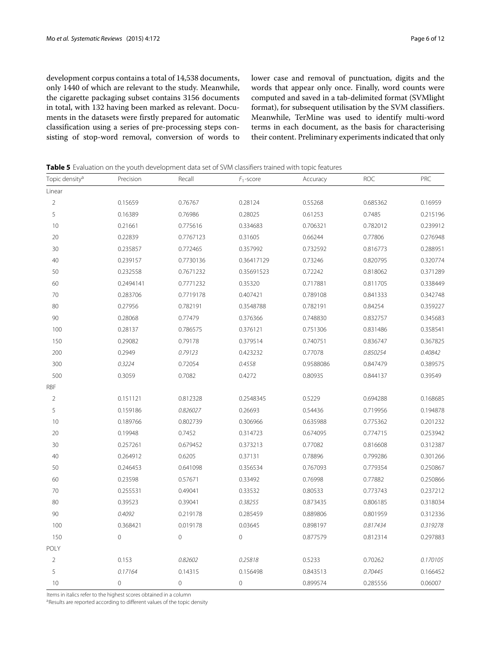development corpus contains a total of 14,538 documents, only 1440 of which are relevant to the study. Meanwhile, the cigarette packaging subset contains 3156 documents in total, with 132 having been marked as relevant. Documents in the datasets were firstly prepared for automatic classification using a series of pre-processing steps consisting of stop-word removal, conversion of words to

lower case and removal of punctuation, digits and the words that appear only once. Finally, word counts were computed and saved in a tab-delimited format (SVMlight format), for subsequent utilisation by the SVM classifiers. Meanwhile, TerMine was used to identify multi-word terms in each document, as the basis for characterising their content. Preliminary experiments indicated that only

<span id="page-5-0"></span>

| <b>Table 5</b> Evaluation on the vouth development data set of SVM classifiers trained with topic features |  |
|------------------------------------------------------------------------------------------------------------|--|
|------------------------------------------------------------------------------------------------------------|--|

| Topic density <sup>a</sup> | Precision    | Recall      | $F_1$ -score | Accuracy  | <b>ROC</b> | PRC      |
|----------------------------|--------------|-------------|--------------|-----------|------------|----------|
| Linear                     |              |             |              |           |            |          |
| $\overline{2}$             | 0.15659      | 0.76767     | 0.28124      | 0.55268   | 0.685362   | 0.16959  |
| 5                          | 0.16389      | 0.76986     | 0.28025      | 0.61253   | 0.7485     | 0.215196 |
| 10                         | 0.21661      | 0.775616    | 0.334683     | 0.706321  | 0.782012   | 0.239912 |
| 20                         | 0.22839      | 0.7767123   | 0.31605      | 0.66244   | 0.77806    | 0.276948 |
| 30                         | 0.235857     | 0.772465    | 0.357992     | 0.732592  | 0.816773   | 0.288951 |
| 40                         | 0.239157     | 0.7730136   | 0.36417129   | 0.73246   | 0.820795   | 0.320774 |
| 50                         | 0.232558     | 0.7671232   | 0.35691523   | 0.72242   | 0.818062   | 0.371289 |
| 60                         | 0.2494141    | 0.7771232   | 0.35320      | 0.717881  | 0.811705   | 0.338449 |
| $70\,$                     | 0.283706     | 0.7719178   | 0.407421     | 0.789108  | 0.841333   | 0.342748 |
| 80                         | 0.27956      | 0.782191    | 0.3548788    | 0.782191  | 0.84254    | 0.359227 |
| 90                         | 0.28068      | 0.77479     | 0.376366     | 0.748830  | 0.832757   | 0.345683 |
| 100                        | 0.28137      | 0.786575    | 0.376121     | 0.751306  | 0.831486   | 0.358541 |
| 150                        | 0.29082      | 0.79178     | 0.379514     | 0.740751  | 0.836747   | 0.367825 |
| 200                        | 0.2949       | 0.79123     | 0.423232     | 0.77078   | 0.850254   | 0.40842  |
| 300                        | 0.3224       | 0.72054     | 0.4558       | 0.9588086 | 0.847479   | 0.389575 |
| 500                        | 0.3059       | 0.7082      | 0.4272       | 0.80935   | 0.844137   | 0.39549  |
| <b>RBF</b>                 |              |             |              |           |            |          |
| $\overline{2}$             | 0.151121     | 0.812328    | 0.2548345    | 0.5229    | 0.694288   | 0.168685 |
| 5                          | 0.159186     | 0.826027    | 0.26693      | 0.54436   | 0.719956   | 0.194878 |
| 10                         | 0.189766     | 0.802739    | 0.306966     | 0.635988  | 0.775362   | 0.201232 |
| 20                         | 0.19948      | 0.7452      | 0.314723     | 0.674095  | 0.774715   | 0.253942 |
| 30                         | 0.257261     | 0.679452    | 0.373213     | 0.77082   | 0.816608   | 0.312387 |
| 40                         | 0.264912     | 0.6205      | 0.37131      | 0.78896   | 0.799286   | 0.301266 |
| 50                         | 0.246453     | 0.641098    | 0.356534     | 0.767093  | 0.779354   | 0.250867 |
| 60                         | 0.23598      | 0.57671     | 0.33492      | 0.76998   | 0.77882    | 0.250866 |
| 70                         | 0.255531     | 0.49041     | 0.33532      | 0.80533   | 0.773743   | 0.237212 |
| 80                         | 0.39523      | 0.39041     | 0.38255      | 0.873435  | 0.806185   | 0.318034 |
| 90                         | 0.4092       | 0.219178    | 0.285459     | 0.889806  | 0.801959   | 0.312336 |
| 100                        | 0.368421     | 0.019178    | 0.03645      | 0.898197  | 0.817434   | 0.319278 |
| 150                        | $\mathbf 0$  | 0           | 0            | 0.877579  | 0.812314   | 0.297883 |
| POLY                       |              |             |              |           |            |          |
| $\overline{2}$             | 0.153        | 0.82602     | 0.25818      | 0.5233    | 0.70262    | 0.170105 |
| 5                          | 0.17164      | 0.14315     | 0.156498     | 0.843513  | 0.70445    | 0.166452 |
| 10                         | $\mathbf{0}$ | $\mathbf 0$ | 0            | 0.899574  | 0.285556   | 0.06007  |

Items in italics refer to the highest scores obtained in a column

<sup>a</sup>Results are reported according to different values of the topic density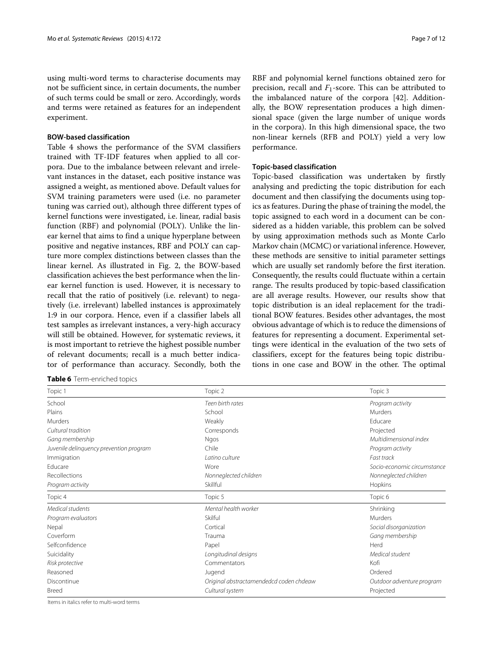using multi-word terms to characterise documents may not be sufficient since, in certain documents, the number of such terms could be small or zero. Accordingly, words and terms were retained as features for an independent experiment.

#### **BOW-based classification**

Table [4](#page-4-0) shows the performance of the SVM classifiers trained with TF-IDF features when applied to all corpora. Due to the imbalance between relevant and irrelevant instances in the dataset, each positive instance was assigned a weight, as mentioned above. Default values for SVM training parameters were used (i.e. no parameter tuning was carried out), although three different types of kernel functions were investigated, i.e. linear, radial basis function (RBF) and polynomial (POLY). Unlike the linear kernel that aims to find a unique hyperplane between positive and negative instances, RBF and POLY can capture more complex distinctions between classes than the linear kernel. As illustrated in Fig. [2,](#page-4-1) the BOW-based classification achieves the best performance when the linear kernel function is used. However, it is necessary to recall that the ratio of positively (i.e. relevant) to negatively (i.e. irrelevant) labelled instances is approximately 1:9 in our corpora. Hence, even if a classifier labels all test samples as irrelevant instances, a very-high accuracy will still be obtained. However, for systematic reviews, it is most important to retrieve the highest possible number of relevant documents; recall is a much better indicator of performance than accuracy. Secondly, both the

<span id="page-6-0"></span>

|  | Table 6 Term-enriched topics |  |
|--|------------------------------|--|
|--|------------------------------|--|

RBF and polynomial kernel functions obtained zero for precision, recall and *F*1-score. This can be attributed to the imbalanced nature of the corpora [\[42\]](#page-11-22). Additionally, the BOW representation produces a high dimensional space (given the large number of unique words in the corpora). In this high dimensional space, the two non-linear kernels (RFB and POLY) yield a very low performance.

## **Topic-based classification**

Topic-based classification was undertaken by firstly analysing and predicting the topic distribution for each document and then classifying the documents using topics as features. During the phase of training the model, the topic assigned to each word in a document can be considered as a hidden variable, this problem can be solved by using approximation methods such as Monte Carlo Markov chain (MCMC) or variational inference. However, these methods are sensitive to initial parameter settings which are usually set randomly before the first iteration. Consequently, the results could fluctuate within a certain range. The results produced by topic-based classification are all average results. However, our results show that topic distribution is an ideal replacement for the traditional BOW features. Besides other advantages, the most obvious advantage of which is to reduce the dimensions of features for representing a document. Experimental settings were identical in the evaluation of the two sets of classifiers, except for the features being topic distributions in one case and BOW in the other. The optimal

| Topic 1                                 | Topic 2                                 | Topic 3                     |
|-----------------------------------------|-----------------------------------------|-----------------------------|
| School                                  | Teen birth rates                        | Program activity            |
| Plains                                  | School                                  | Murders                     |
| Murders                                 | Weakly                                  | Educare                     |
| Cultural tradition                      | Corresponds                             | Projected                   |
| Gang membership                         | Ngos                                    | Multidimensional index      |
| Juvenile delinquency prevention program | Chile                                   | Program activity            |
| Immigration                             | Latino culture                          | Fast track                  |
| Educare                                 | Wore                                    | Socio-economic circumstance |
| Recollections                           | Nonneglected children                   | Nonneglected children       |
| Program activity                        | Skillful                                | Hopkins                     |
| Topic 4                                 | Topic 5                                 | Topic 6                     |
| Medical students                        | Mental health worker                    | Shrinking                   |
| Program evaluators                      | Skilful                                 | Murders                     |
| Nepal                                   | Cortical                                | Social disorganization      |
| Coverform                               | Trauma                                  | Gang membership             |
| Selfconfidence                          | Papel                                   | Herd                        |
| Suicidality                             | Longitudinal designs                    | Medical student             |
| Risk protective                         | Commentators                            | Kofi                        |
| Reasoned                                | Jugend                                  | Ordered                     |
| Discontinue                             | Original abstractamendedcd coden chdeaw | Outdoor adventure program   |
| Breed                                   | Cultural system                         | Projected                   |

Items in italics refer to multi-word terms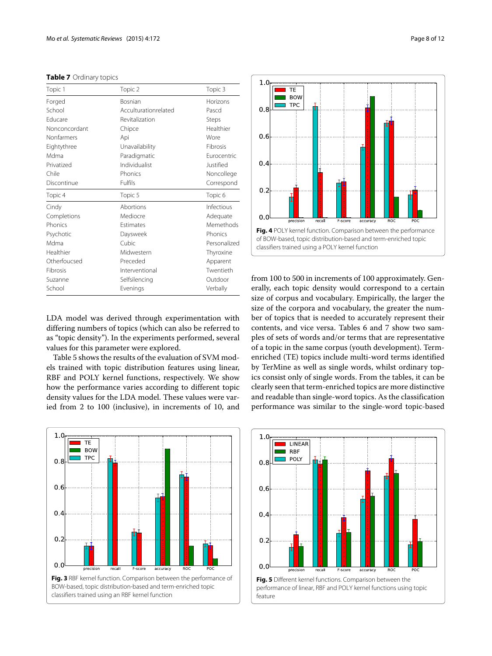<span id="page-7-0"></span>

|  |  | Table 7 Ordinary topics |  |
|--|--|-------------------------|--|
|--|--|-------------------------|--|

| Topic 1       | Topic 2              | Topic 3            |
|---------------|----------------------|--------------------|
| Forged        | <b>Bosnian</b>       | Horizons           |
| School        | Acculturationrelated | Pascd              |
| Educare       | Revitalization       | Steps              |
| Nonconcordant | Chipce               | Healthier          |
| Nonfarmers    | Api                  | Wore               |
| Eightythree   | Unavailability       | Fibrosis           |
| Mdma          | Paradigmatic         | <b>Furocentric</b> |
| Privatized    | Individualist        | Justified          |
| Chile         | Phonics              | Noncollege         |
| Discontinue   | Fulfils              | Correspond         |
| Topic 4       | Topic 5              | Topic 6            |
| Cindy         | Abortions            | Infectious         |
| Completions   | Mediocre             | Adequate           |
| Phonics       | Estimates            | Memethods          |
| Psychotic     | Daysweek             | Phonics            |
| Mdma          | Cubic                | Personalized       |
| Healthier     | Midwestern           | Thyroxine          |
| Otherfoucsed  | Preceded             | Apparent           |
| Fibrosis      | Interventional       | Twentieth          |
| Suzanne       | Selfsilencing        | Outdoor            |
| School        | Evenings             | Verbally           |
|               |                      |                    |

LDA model was derived through experimentation with differing numbers of topics (which can also be referred to as "topic density"). In the experiments performed, several values for this parameter were explored.

Table [5](#page-5-0) shows the results of the evaluation of SVM models trained with topic distribution features using linear, RBF and POLY kernel functions, respectively. We show how the performance varies according to different topic density values for the LDA model. These values were varied from 2 to 100 (inclusive), in increments of 10, and

<span id="page-7-1"></span>





<span id="page-7-2"></span>from 100 to 500 in increments of 100 approximately. Generally, each topic density would correspond to a certain size of corpus and vocabulary. Empirically, the larger the size of the corpora and vocabulary, the greater the number of topics that is needed to accurately represent their contents, and vice versa. Tables [6](#page-6-0) and [7](#page-7-0) show two samples of sets of words and/or terms that are representative of a topic in the same corpus (youth development). Termenriched (TE) topics include multi-word terms identified by TerMine as well as single words, whilst ordinary topics consist only of single words. From the tables, it can be clearly seen that term-enriched topics are more distinctive and readable than single-word topics. As the classification performance was similar to the single-word topic-based

<span id="page-7-3"></span>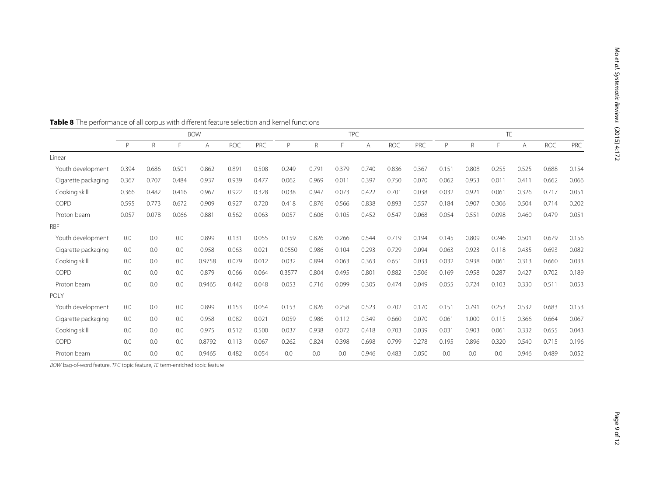|                     | <b>BOW</b> |              |       |        |            | <b>TPC</b> |        |       |       | TE.   |            |       |       |              |       |       |            |       |
|---------------------|------------|--------------|-------|--------|------------|------------|--------|-------|-------|-------|------------|-------|-------|--------------|-------|-------|------------|-------|
|                     | P          | $\mathsf{R}$ | F     | Α      | <b>ROC</b> | PRC        | P      | R     | F     | Α     | <b>ROC</b> | PRC   | P     | $\mathsf{R}$ | F     | Α     | <b>ROC</b> | PRC   |
| Linear              |            |              |       |        |            |            |        |       |       |       |            |       |       |              |       |       |            |       |
| Youth development   | 0.394      | 0.686        | 0.501 | 0.862  | 0.891      | 0.508      | 0.249  | 0.791 | 0.379 | 0.740 | 0.836      | 0.367 | 0.151 | 0.808        | 0.255 | 0.525 | 0.688      | 0.154 |
| Cigarette packaging | 0.367      | 0.707        | 0.484 | 0.937  | 0.939      | 0.477      | 0.062  | 0.969 | 0.011 | 0.397 | 0.750      | 0.070 | 0.062 | 0.953        | 0.011 | 0.411 | 0.662      | 0.066 |
| Cooking skill       | 0.366      | 0.482        | 0.416 | 0.967  | 0.922      | 0.328      | 0.038  | 0.947 | 0.073 | 0.422 | 0.701      | 0.038 | 0.032 | 0.921        | 0.061 | 0.326 | 0.717      | 0.051 |
| COPD                | 0.595      | 0.773        | 0.672 | 0.909  | 0.927      | 0.720      | 0.418  | 0.876 | 0.566 | 0.838 | 0.893      | 0.557 | 0.184 | 0.907        | 0.306 | 0.504 | 0.714      | 0.202 |
| Proton beam         | 0.057      | 0.078        | 0.066 | 0.881  | 0.562      | 0.063      | 0.057  | 0.606 | 0.105 | 0.452 | 0.547      | 0.068 | 0.054 | 0.551        | 0.098 | 0.460 | 0.479      | 0.051 |
| <b>RBF</b>          |            |              |       |        |            |            |        |       |       |       |            |       |       |              |       |       |            |       |
| Youth development   | 0.0        | 0.0          | 0.0   | 0.899  | 0.131      | 0.055      | 0.159  | 0.826 | 0.266 | 0.544 | 0.719      | 0.194 | 0.145 | 0.809        | 0.246 | 0.501 | 0.679      | 0.156 |
| Cigarette packaging | 0.0        | 0.0          | 0.0   | 0.958  | 0.063      | 0.021      | 0.0550 | 0.986 | 0.104 | 0.293 | 0.729      | 0.094 | 0.063 | 0.923        | 0.118 | 0.435 | 0.693      | 0.082 |
| Cooking skill       | 0.0        | 0.0          | 0.0   | 0.9758 | 0.079      | 0.012      | 0.032  | 0.894 | 0.063 | 0.363 | 0.651      | 0.033 | 0.032 | 0.938        | 0.061 | 0.313 | 0.660      | 0.033 |
| COPD                | 0.0        | 0.0          | 0.0   | 0.879  | 0.066      | 0.064      | 0.3577 | 0.804 | 0.495 | 0.801 | 0.882      | 0.506 | 0.169 | 0.958        | 0.287 | 0.427 | 0.702      | 0.189 |
| Proton beam         | 0.0        | 0.0          | 0.0   | 0.9465 | 0.442      | 0.048      | 0.053  | 0.716 | 0.099 | 0.305 | 0.474      | 0.049 | 0.055 | 0.724        | 0.103 | 0.330 | 0.511      | 0.053 |
| POI Y               |            |              |       |        |            |            |        |       |       |       |            |       |       |              |       |       |            |       |
| Youth development   | 0.0        | 0.0          | 0.0   | 0.899  | 0.153      | 0.054      | 0.153  | 0.826 | 0.258 | 0.523 | 0.702      | 0.170 | 0.151 | 0.791        | 0.253 | 0.532 | 0.683      | 0.153 |
| Cigarette packaging | 0.0        | 0.0          | 0.0   | 0.958  | 0.082      | 0.021      | 0.059  | 0.986 | 0.112 | 0.349 | 0.660      | 0.070 | 0.061 | 1.000        | 0.115 | 0.366 | 0.664      | 0.067 |
| Cooking skill       | 0.0        | 0.0          | 0.0   | 0.975  | 0.512      | 0.500      | 0.037  | 0.938 | 0.072 | 0.418 | 0.703      | 0.039 | 0.031 | 0.903        | 0.061 | 0.332 | 0.655      | 0.043 |
| COPD                | 0.0        | 0.0          | 0.0   | 0.8792 | 0.113      | 0.067      | 0.262  | 0.824 | 0.398 | 0.698 | 0.799      | 0.278 | 0.195 | 0.896        | 0.320 | 0.540 | 0.715      | 0.196 |
| Proton beam         | 0.0        | 0.0          | 0.0   | 0.9465 | 0.482      | 0.054      | 0.0    | 0.0   | 0.0   | 0.946 | 0.483      | 0.050 | 0.0   | 0.0          | 0.0   | 0.946 | 0.489      | 0.052 |

<span id="page-8-0"></span>BOW bag-of-word feature, TPC topic feature, TE term-enriched topic feature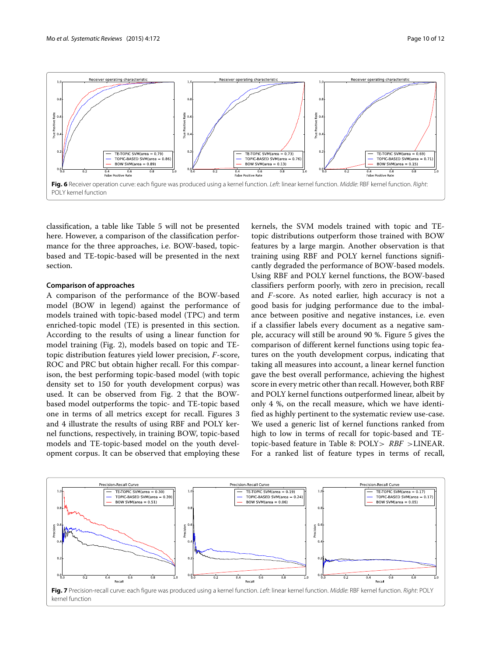

<span id="page-9-0"></span>classification, a table like Table [5](#page-5-0) will not be presented here. However, a comparison of the classification performance for the three approaches, i.e. BOW-based, topicbased and TE-topic-based will be presented in the next section.

#### **Comparison of approaches**

A comparison of the performance of the BOW-based model (BOW in legend) against the performance of models trained with topic-based model (TPC) and term enriched-topic model (TE) is presented in this section. According to the results of using a linear function for model training (Fig. [2\)](#page-4-1), models based on topic and TEtopic distribution features yield lower precision, *F*-score, ROC and PRC but obtain higher recall. For this comparison, the best performing topic-based model (with topic density set to 150 for youth development corpus) was used. It can be observed from Fig. [2](#page-4-1) that the BOWbased model outperforms the topic- and TE-topic based one in terms of all metrics except for recall. Figures [3](#page-7-1) and [4](#page-7-2) illustrate the results of using RBF and POLY kernel functions, respectively, in training BOW, topic-based models and TE-topic-based model on the youth development corpus. It can be observed that employing these

kernels, the SVM models trained with topic and TEtopic distributions outperform those trained with BOW features by a large margin. Another observation is that training using RBF and POLY kernel functions significantly degraded the performance of BOW-based models. Using RBF and POLY kernel functions, the BOW-based classifiers perform poorly, with zero in precision, recall and *F*-score. As noted earlier, high accuracy is not a good basis for judging performance due to the imbalance between positive and negative instances, i.e. even if a classifier labels every document as a negative sample, accuracy will still be around 90 %. Figure [5](#page-7-3) gives the comparison of different kernel functions using topic features on the youth development corpus, indicating that taking all measures into account, a linear kernel function gave the best overall performance, achieving the highest score in every metric other than recall. However, both RBF and POLY kernel functions outperformed linear, albeit by only 4 %, on the recall measure, which we have identified as highly pertinent to the systematic review use-case. We used a generic list of kernel functions ranked from high to low in terms of recall for topic-based and TEtopic-based feature in Table [8:](#page-8-0) POLY> *RBF* >LINEAR. For a ranked list of feature types in terms of recall,

<span id="page-9-1"></span>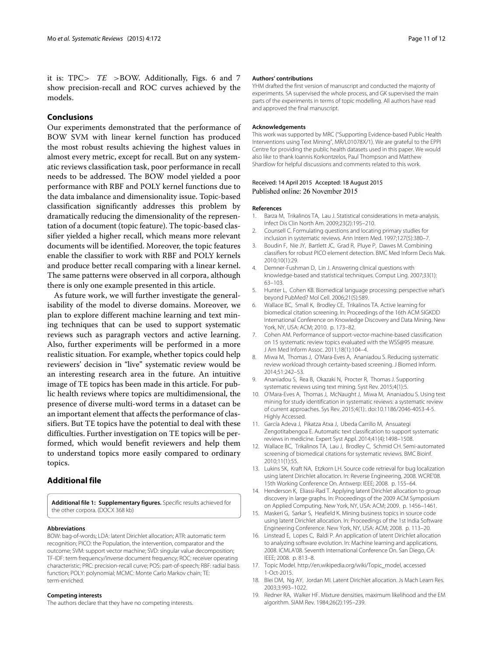it is: TPC> *TE* >BOW. Additionally, Figs. [6](#page-9-0) and [7](#page-9-1) show precision-recall and ROC curves achieved by the models.

## **Conclusions**

Our experiments demonstrated that the performance of BOW SVM with linear kernel function has produced the most robust results achieving the highest values in almost every metric, except for recall. But on any systematic reviews classification task, poor performance in recall needs to be addressed. The BOW model yielded a poor performance with RBF and POLY kernel functions due to the data imbalance and dimensionality issue. Topic-based classification significantly addresses this problem by dramatically reducing the dimensionality of the representation of a document (topic feature). The topic-based classifier yielded a higher recall, which means more relevant documents will be identified. Moreover, the topic features enable the classifier to work with RBF and POLY kernels and produce better recall comparing with a linear kernel. The same patterns were observed in all corpora, although there is only one example presented in this article.

As future work, we will further investigate the generalisability of the model to diverse domains. Moreover, we plan to explore different machine learning and text mining techniques that can be used to support systematic reviews such as paragraph vectors and active learning. Also, further experiments will be performed in a more realistic situation. For example, whether topics could help reviewers' decision in "live" systematic review would be an interesting research area in the future. An intuitive image of TE topics has been made in this article. For public health reviews where topics are multidimensional, the presence of diverse multi-word terms in a dataset can be an important element that affects the performance of classifiers. But TE topics have the potential to deal with these difficulties. Further investigation on TE topics will be performed, which would benefit reviewers and help them to understand topics more easily compared to ordinary topics.

# **Additional file**

<span id="page-10-15"></span>**[Additional file 1:](http://dx.doi.org/10.1186/s13643-015-0117-0) Supplementary figures.** Specific results achieved for the other corpora. (DOCX 368 kb)

#### **Abbreviations**

BOW: bag-of-words; LDA: latent Dirichlet allocation; ATR: automatic term recognition; PICO: the Population, the intervention, comparator and the outcome; SVM: support vector machine; SVD: singular value decomposition; TF-IDF: term frequency/inverse document frequency; ROC: receiver operating characteristic; PRC: precision-recall curve; POS: part-of-speech; RBF: radial basis function; POLY: polynomial; MCMC: Monte Carlo Markov chain; TE: term-enriched.

#### **Competing interests**

The authors declare that they have no competing interests.

#### **Authors' contributions**

YHM drafted the first version of manuscript and conducted the majority of experiments. SA supervised the whole process, and GK supervised the main parts of the experiments in terms of topic modelling. All authors have read and approved the final manuscript.

#### **Acknowledgements**

This work was supported by MRC ("Supporting Evidence-based Public Health Interventions using Text Mining", MR/L01078X/1). We are grateful to the EPPI Centre for providing the public health datasets used in this paper. We would also like to thank Ioannis Korkontzelos, Paul Thompson and Matthew Shardlow for helpful discussions and comments related to this work.

#### Received: 14 April 2015 Accepted: 18 August 2015 Published online: 26 November 2015

#### **References**

- <span id="page-10-0"></span>Barza M, Trikalinos TA, Lau J. Statistical considerations in meta-analysis. Infect Dis Clin North Am. 2009;23(2):195–210.
- 2. Counsell C. Formulating questions and locating primary studies for inclusion in systematic reviews. Ann Intern Med. 1997;127(5):380–7.
- 3. Boudin F, Nie JY, Bartlett JC, Grad R, Pluye P, Dawes M. Combining classifiers for robust PICO element detection. BMC Med Inform Decis Mak. 2010;10(1):29.
- <span id="page-10-1"></span>4. Demner-Fushman D, Lin J. Answering clinical questions with knowledge-based and statistical techniques. Comput Ling. 2007;33(1): 63–103.
- <span id="page-10-2"></span>5. Hunter L, Cohen KB. Biomedical language processing: perspective what's beyond PubMed? Mol Cell. 2006;21(5):589.
- <span id="page-10-3"></span>6. Wallace BC, Small K, Brodley CE, Trikalinos TA. Active learning for biomedical citation screening. In: Proceedings of the 16th ACM SIGKDD International Conference on Knowledge Discovery and Data Mining. New York, NY, USA: ACM; 2010. p. 173–82.
- <span id="page-10-4"></span>7. Cohen AM. Performance of support-vector-machine-based classification on 15 systematic review topics evaluated with the WSS@95 measure. J Am Med Inform Assoc. 2011;18(1):104–4.
- <span id="page-10-5"></span>8. Miwa M, Thomas J, O'Mara-Eves A, Ananiadou S. Reducing systematic review workload through certainty-based screening. J Biomed Inform. 2014;51:242–53.
- <span id="page-10-6"></span>9. Ananiadou S, Rea B, Okazaki N, Procter R, Thomas J. Supporting systematic reviews using text mining. Syst Rev. 2015;4(1):5.
- <span id="page-10-7"></span>10. O'Mara-Eves A, Thomas J, McNaught J, Miwa M, Ananiadou S. Using text mining for study identification in systematic reviews: a systematic review of current approaches. Sys Rev. 2015;4(1):. do[i:10.1186/2046-4053-4-5.](http://dx.doi.org/10.1186/2046-4053-4-5) Highly Accessed.
- <span id="page-10-8"></span>11. García Adeva J, Pikatza Atxa J, Ubeda Carrillo M, Ansuategi Zengotitabengoa E. Automatic text classification to support systematic reviews in medicine. Expert Syst Appl. 2014;41(4):1498–1508.
- <span id="page-10-9"></span>12. Wallace BC, Trikalinos TA, Lau J, Brodley C, Schmid CH. Semi-automated screening of biomedical citations for systematic reviews. BMC Bioinf. 2010;11(1):55.
- <span id="page-10-10"></span>13. Lukins SK, Kraft NA, Etzkorn LH. Source code retrieval for bug localization using latent Dirichlet allocation. In: Reverse Engineering, 2008. WCRE'08. 15th Working Conference On. Antwerp: IEEE; 2008. p. 155–64.
- 14. Henderson K, Eliassi-Rad T. Applying latent Dirichlet allocation to group discovery in large graphs. In: Proceedings of the 2009 ACM Symposium on Applied Computing. New York, NY, USA: ACM; 2009. p. 1456–1461.
- 15. Maskeri G, Sarkar S, Heafield K. Mining business topics in source code using latent Dirichlet allocation. In: Proceedings of the 1st India Software Engineering Conference. New York, NY, USA: ACM; 2008. p. 113–20.
- <span id="page-10-11"></span>16. Linstead E, Lopes C, Baldi P. An application of latent Dirichlet allocation to analyzing software evolution. In: Machine learning and applications, 2008. ICMLA'08. Seventh International Conference On. San Diego, CA: IEEE; 2008. p. 813–8.
- <span id="page-10-12"></span>17. Topic Model. [http://en.wikipedia.org/wiki/Topic\\_model,](http://en.wikipedia.org/wiki/Topic_model) accessed 1-Oct-2015.
- <span id="page-10-13"></span>18. Blei DM, Ng AY, Jordan MI. Latent Dirichlet allocation. Js Mach Learn Res. 2003;3:993–1022.
- <span id="page-10-14"></span>19. Redner RA, Walker HF. Mixture densities, maximum likelihood and the EM algorithm. SIAM Rev. 1984;26(2):195–239.